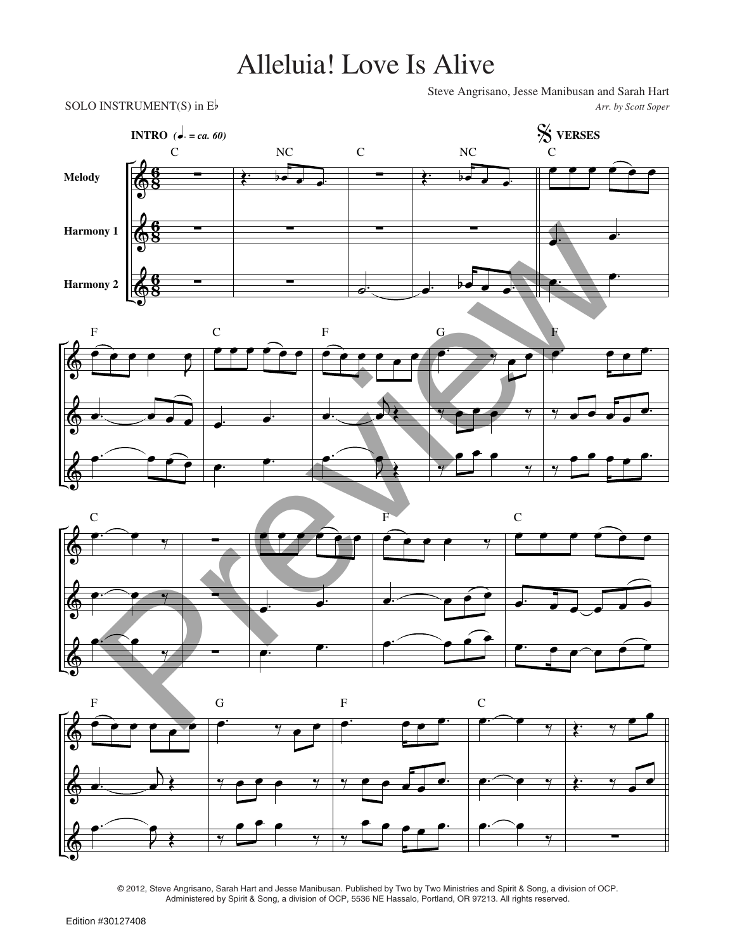## Alleluia! Love Is Alive

Steve Angrisano, Jesse Manibusan and Sarah Hart SOLO INSTRUMENT(S) in E<sup>b</sup> *Arr. by Scott Soper* 









© 2012, Steve Angrisano, Sarah Hart and Jesse Manibusan. Published by Two by Two Ministries and Spirit & Song, a division of OCP. Administered by Spirit & Song, a division of OCP, 5536 NE Hassalo, Portland, OR 97213. All rights reserved.